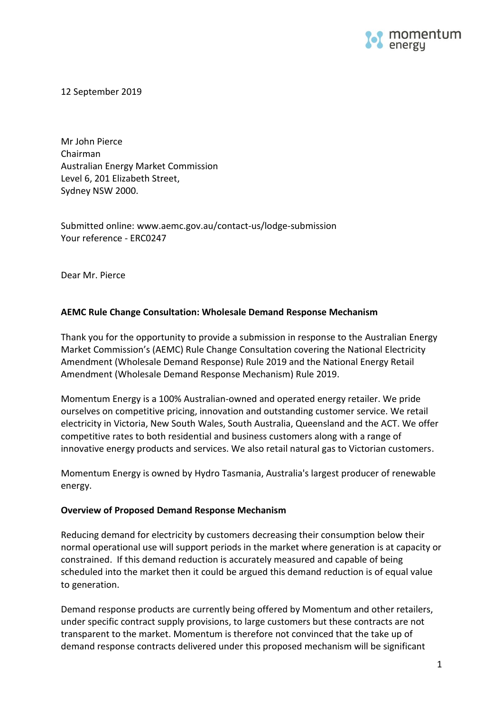

12 September 2019

Mr John Pierce Chairman Australian Energy Market Commission Level 6, 201 Elizabeth Street, Sydney NSW 2000.

Submitted online: www.aemc.gov.au/contact-us/lodge-submission Your reference - ERC0247

Dear Mr. Pierce

# **AEMC Rule Change Consultation: Wholesale Demand Response Mechanism**

Thank you for the opportunity to provide a submission in response to the Australian Energy Market Commission's (AEMC) Rule Change Consultation covering the National Electricity Amendment (Wholesale Demand Response) Rule 2019 and the National Energy Retail Amendment (Wholesale Demand Response Mechanism) Rule 2019.

Momentum Energy is a 100% Australian-owned and operated energy retailer. We pride ourselves on competitive pricing, innovation and outstanding customer service. We retail electricity in Victoria, New South Wales, South Australia, Queensland and the ACT. We offer competitive rates to both residential and business customers along with a range of innovative energy products and services. We also retail natural gas to Victorian customers.

Momentum Energy is owned by [Hydro Tasmania,](http://www.momentumenergy.com.au/about-us/hydro-tasmania-group) Australia's largest producer of renewable energy.

### **Overview of Proposed Demand Response Mechanism**

Reducing demand for electricity by customers decreasing their consumption below their normal operational use will support periods in the market where generation is at capacity or constrained. If this demand reduction is accurately measured and capable of being scheduled into the market then it could be argued this demand reduction is of equal value to generation.

Demand response products are currently being offered by Momentum and other retailers, under specific contract supply provisions, to large customers but these contracts are not transparent to the market. Momentum is therefore not convinced that the take up of demand response contracts delivered under this proposed mechanism will be significant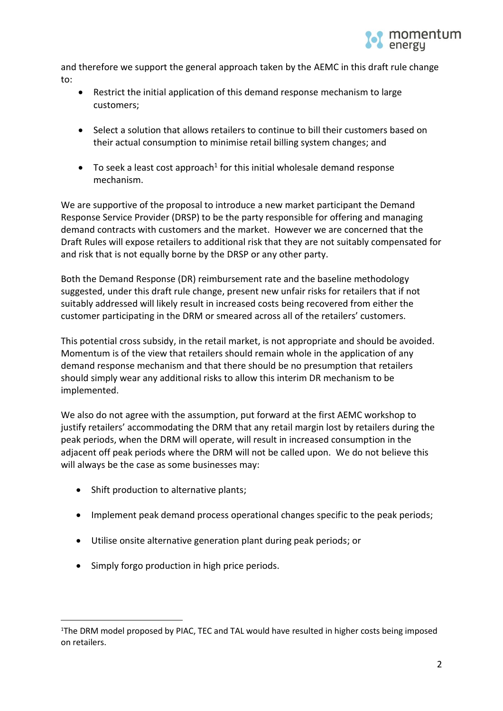

and therefore we support the general approach taken by the AEMC in this draft rule change to:

- Restrict the initial application of this demand response mechanism to large customers;
- Select a solution that allows retailers to continue to bill their customers based on their actual consumption to minimise retail billing system changes; and
- $\bullet$  To seek a least cost approach<sup>1</sup> for this initial wholesale demand response mechanism.

We are supportive of the proposal to introduce a new market participant the Demand Response Service Provider (DRSP) to be the party responsible for offering and managing demand contracts with customers and the market. However we are concerned that the Draft Rules will expose retailers to additional risk that they are not suitably compensated for and risk that is not equally borne by the DRSP or any other party.

Both the Demand Response (DR) reimbursement rate and the baseline methodology suggested, under this draft rule change, present new unfair risks for retailers that if not suitably addressed will likely result in increased costs being recovered from either the customer participating in the DRM or smeared across all of the retailers' customers.

This potential cross subsidy, in the retail market, is not appropriate and should be avoided. Momentum is of the view that retailers should remain whole in the application of any demand response mechanism and that there should be no presumption that retailers should simply wear any additional risks to allow this interim DR mechanism to be implemented.

We also do not agree with the assumption, put forward at the first AEMC workshop to justify retailers' accommodating the DRM that any retail margin lost by retailers during the peak periods, when the DRM will operate, will result in increased consumption in the adjacent off peak periods where the DRM will not be called upon. We do not believe this will always be the case as some businesses may:

- Shift production to alternative plants;
- Implement peak demand process operational changes specific to the peak periods;
- Utilise onsite alternative generation plant during peak periods; or
- Simply forgo production in high price periods.

l <sup>1</sup>The DRM model proposed by PIAC, TEC and TAL would have resulted in higher costs being imposed on retailers.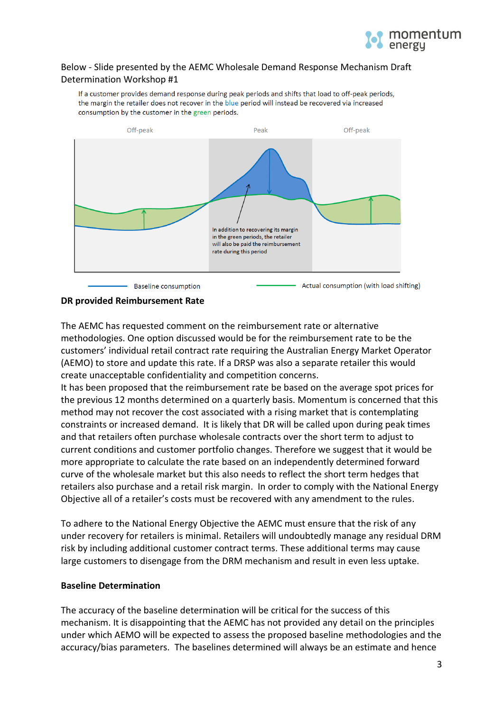

# Below - Slide presented by the AEMC Wholesale Demand Response Mechanism Draft Determination Workshop #1

If a customer provides demand response during peak periods and shifts that load to off-peak periods, the margin the retailer does not recover in the blue period will instead be recovered via increased consumption by the customer in the green periods.



### **DR provided Reimbursement Rate**

The AEMC has requested comment on the reimbursement rate or alternative methodologies. One option discussed would be for the reimbursement rate to be the customers' individual retail contract rate requiring the Australian Energy Market Operator (AEMO) to store and update this rate. If a DRSP was also a separate retailer this would create unacceptable confidentiality and competition concerns.

It has been proposed that the reimbursement rate be based on the average spot prices for the previous 12 months determined on a quarterly basis. Momentum is concerned that this method may not recover the cost associated with a rising market that is contemplating constraints or increased demand. It is likely that DR will be called upon during peak times and that retailers often purchase wholesale contracts over the short term to adjust to current conditions and customer portfolio changes. Therefore we suggest that it would be more appropriate to calculate the rate based on an independently determined forward curve of the wholesale market but this also needs to reflect the short term hedges that retailers also purchase and a retail risk margin. In order to comply with the National Energy Objective all of a retailer's costs must be recovered with any amendment to the rules.

To adhere to the National Energy Objective the AEMC must ensure that the risk of any under recovery for retailers is minimal. Retailers will undoubtedly manage any residual DRM risk by including additional customer contract terms. These additional terms may cause large customers to disengage from the DRM mechanism and result in even less uptake.

### **Baseline Determination**

The accuracy of the baseline determination will be critical for the success of this mechanism. It is disappointing that the AEMC has not provided any detail on the principles under which AEMO will be expected to assess the proposed baseline methodologies and the accuracy/bias parameters. The baselines determined will always be an estimate and hence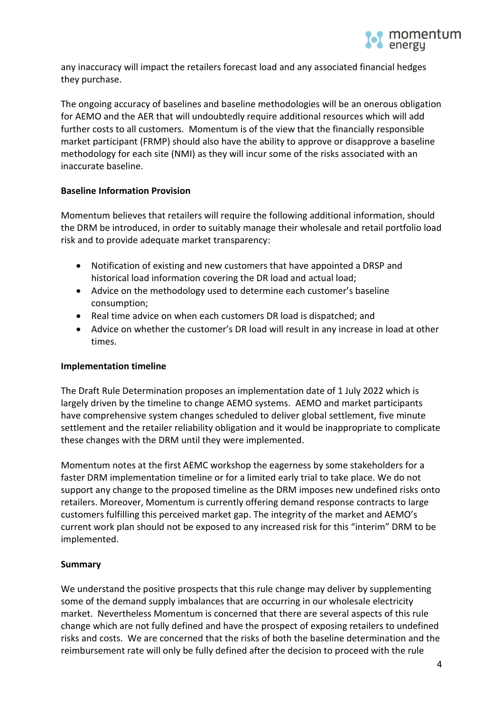

any inaccuracy will impact the retailers forecast load and any associated financial hedges they purchase.

The ongoing accuracy of baselines and baseline methodologies will be an onerous obligation for AEMO and the AER that will undoubtedly require additional resources which will add further costs to all customers. Momentum is of the view that the financially responsible market participant (FRMP) should also have the ability to approve or disapprove a baseline methodology for each site (NMI) as they will incur some of the risks associated with an inaccurate baseline.

# **Baseline Information Provision**

Momentum believes that retailers will require the following additional information, should the DRM be introduced, in order to suitably manage their wholesale and retail portfolio load risk and to provide adequate market transparency:

- Notification of existing and new customers that have appointed a DRSP and historical load information covering the DR load and actual load;
- Advice on the methodology used to determine each customer's baseline consumption;
- Real time advice on when each customers DR load is dispatched; and
- Advice on whether the customer's DR load will result in any increase in load at other times.

### **Implementation timeline**

The Draft Rule Determination proposes an implementation date of 1 July 2022 which is largely driven by the timeline to change AEMO systems. AEMO and market participants have comprehensive system changes scheduled to deliver global settlement, five minute settlement and the retailer reliability obligation and it would be inappropriate to complicate these changes with the DRM until they were implemented.

Momentum notes at the first AEMC workshop the eagerness by some stakeholders for a faster DRM implementation timeline or for a limited early trial to take place. We do not support any change to the proposed timeline as the DRM imposes new undefined risks onto retailers. Moreover, Momentum is currently offering demand response contracts to large customers fulfilling this perceived market gap. The integrity of the market and AEMO's current work plan should not be exposed to any increased risk for this "interim" DRM to be implemented.

### **Summary**

We understand the positive prospects that this rule change may deliver by supplementing some of the demand supply imbalances that are occurring in our wholesale electricity market. Nevertheless Momentum is concerned that there are several aspects of this rule change which are not fully defined and have the prospect of exposing retailers to undefined risks and costs. We are concerned that the risks of both the baseline determination and the reimbursement rate will only be fully defined after the decision to proceed with the rule